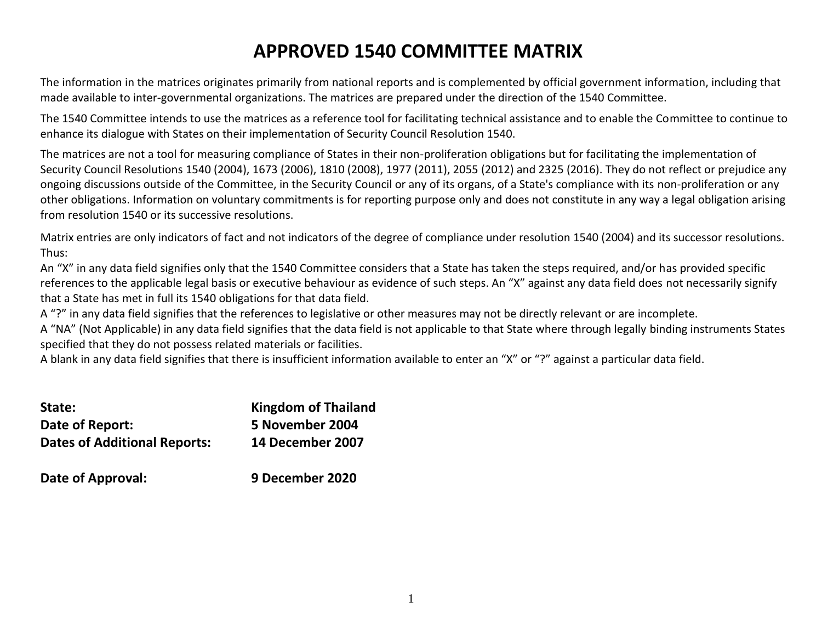# **APPROVED 1540 COMMITTEE MATRIX**

The information in the matrices originates primarily from national reports and is complemented by official government information, including that made available to inter-governmental organizations. The matrices are prepared under the direction of the 1540 Committee.

The 1540 Committee intends to use the matrices as a reference tool for facilitating technical assistance and to enable the Committee to continue to enhance its dialogue with States on their implementation of Security Council Resolution 1540.

The matrices are not a tool for measuring compliance of States in their non-proliferation obligations but for facilitating the implementation of Security Council Resolutions 1540 (2004), 1673 (2006), 1810 (2008), 1977 (2011), 2055 (2012) and 2325 (2016). They do not reflect or prejudice any ongoing discussions outside of the Committee, in the Security Council or any of its organs, of a State's compliance with its non-proliferation or any other obligations. Information on voluntary commitments is for reporting purpose only and does not constitute in any way a legal obligation arising from resolution 1540 or its successive resolutions.

Matrix entries are only indicators of fact and not indicators of the degree of compliance under resolution 1540 (2004) and its successor resolutions. Thus:

An "X" in any data field signifies only that the 1540 Committee considers that a State has taken the steps required, and/or has provided specific references to the applicable legal basis or executive behaviour as evidence of such steps. An "X" against any data field does not necessarily signify that a State has met in full its 1540 obligations for that data field.

A "?" in any data field signifies that the references to legislative or other measures may not be directly relevant or are incomplete.

A "NA" (Not Applicable) in any data field signifies that the data field is not applicable to that State where through legally binding instruments States specified that they do not possess related materials or facilities.

A blank in any data field signifies that there is insufficient information available to enter an "X" or "?" against a particular data field.

| State:                              | <b>Kingdom of Thailand</b> |
|-------------------------------------|----------------------------|
| Date of Report:                     | 5 November 2004            |
| <b>Dates of Additional Reports:</b> | 14 December 2007           |
| Date of Approval:                   | 9 December 2020            |

| 9 I<br>Date of Approval: |
|--------------------------|
|--------------------------|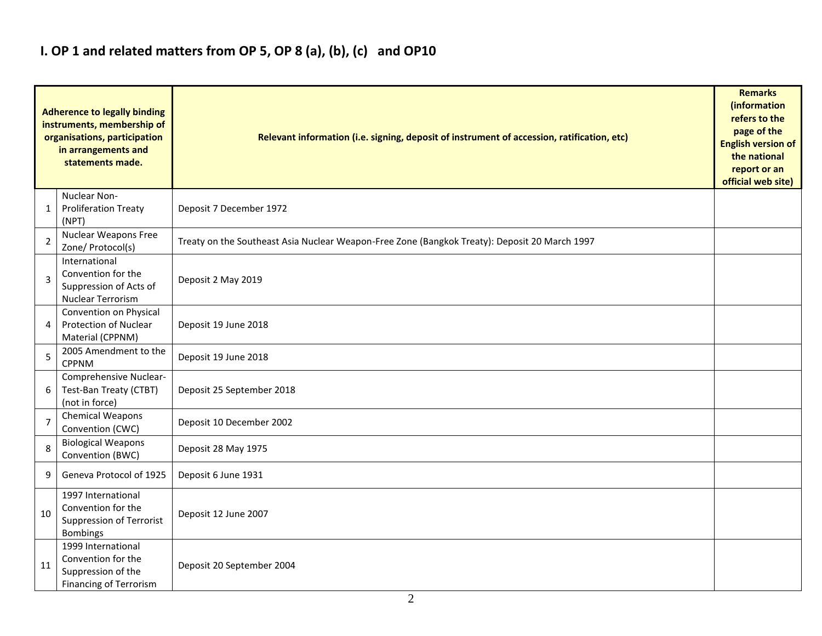# **I. OP 1 and related matters from OP 5, OP 8 (a), (b), (c) and OP10**

|                | <b>Adherence to legally binding</b><br>instruments, membership of<br>organisations, participation<br>in arrangements and<br>statements made. | Relevant information (i.e. signing, deposit of instrument of accession, ratification, etc)    |  |  |  |  |  |  |  |  |  |
|----------------|----------------------------------------------------------------------------------------------------------------------------------------------|-----------------------------------------------------------------------------------------------|--|--|--|--|--|--|--|--|--|
| 1              | Nuclear Non-<br><b>Proliferation Treaty</b><br>(NPT)                                                                                         | Deposit 7 December 1972                                                                       |  |  |  |  |  |  |  |  |  |
| 2              | Nuclear Weapons Free<br>Zone/ Protocol(s)                                                                                                    | Treaty on the Southeast Asia Nuclear Weapon-Free Zone (Bangkok Treaty): Deposit 20 March 1997 |  |  |  |  |  |  |  |  |  |
| 3              | International<br>Convention for the<br>Suppression of Acts of<br>Nuclear Terrorism                                                           | Deposit 2 May 2019                                                                            |  |  |  |  |  |  |  |  |  |
| 4              | Convention on Physical<br>Protection of Nuclear<br>Material (CPPNM)                                                                          | Deposit 19 June 2018                                                                          |  |  |  |  |  |  |  |  |  |
| 5              | 2005 Amendment to the<br><b>CPPNM</b>                                                                                                        | Deposit 19 June 2018                                                                          |  |  |  |  |  |  |  |  |  |
| 6              | Comprehensive Nuclear-<br>Test-Ban Treaty (CTBT)<br>(not in force)                                                                           | Deposit 25 September 2018                                                                     |  |  |  |  |  |  |  |  |  |
| $\overline{7}$ | <b>Chemical Weapons</b><br>Convention (CWC)                                                                                                  | Deposit 10 December 2002                                                                      |  |  |  |  |  |  |  |  |  |
| 8              | <b>Biological Weapons</b><br>Convention (BWC)                                                                                                | Deposit 28 May 1975                                                                           |  |  |  |  |  |  |  |  |  |
| 9              | Geneva Protocol of 1925                                                                                                                      | Deposit 6 June 1931                                                                           |  |  |  |  |  |  |  |  |  |
| 10             | 1997 International<br>Convention for the<br>Suppression of Terrorist<br><b>Bombings</b>                                                      | Deposit 12 June 2007                                                                          |  |  |  |  |  |  |  |  |  |
| 11             | 1999 International<br>Convention for the<br>Suppression of the<br>Financing of Terrorism                                                     | Deposit 20 September 2004                                                                     |  |  |  |  |  |  |  |  |  |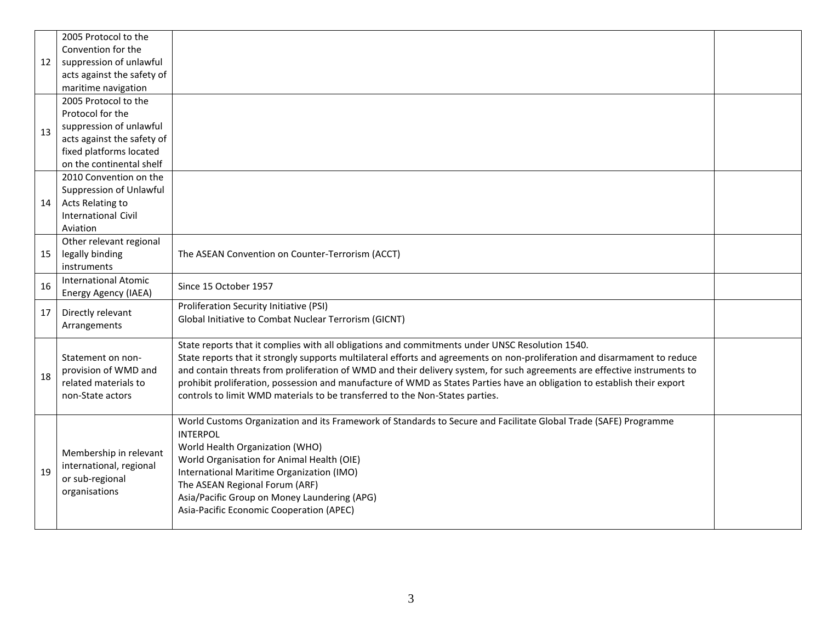|    | 2005 Protocol to the        |                                                                                                                            |  |
|----|-----------------------------|----------------------------------------------------------------------------------------------------------------------------|--|
|    | Convention for the          |                                                                                                                            |  |
| 12 | suppression of unlawful     |                                                                                                                            |  |
|    | acts against the safety of  |                                                                                                                            |  |
|    | maritime navigation         |                                                                                                                            |  |
|    | 2005 Protocol to the        |                                                                                                                            |  |
|    | Protocol for the            |                                                                                                                            |  |
| 13 | suppression of unlawful     |                                                                                                                            |  |
|    | acts against the safety of  |                                                                                                                            |  |
|    | fixed platforms located     |                                                                                                                            |  |
|    | on the continental shelf    |                                                                                                                            |  |
|    | 2010 Convention on the      |                                                                                                                            |  |
|    | Suppression of Unlawful     |                                                                                                                            |  |
| 14 | Acts Relating to            |                                                                                                                            |  |
|    | <b>International Civil</b>  |                                                                                                                            |  |
|    | Aviation                    |                                                                                                                            |  |
|    | Other relevant regional     |                                                                                                                            |  |
| 15 | legally binding             | The ASEAN Convention on Counter-Terrorism (ACCT)                                                                           |  |
|    | instruments                 |                                                                                                                            |  |
| 16 | <b>International Atomic</b> | Since 15 October 1957                                                                                                      |  |
|    | Energy Agency (IAEA)        |                                                                                                                            |  |
| 17 | Directly relevant           | Proliferation Security Initiative (PSI)                                                                                    |  |
|    | Arrangements                | Global Initiative to Combat Nuclear Terrorism (GICNT)                                                                      |  |
|    |                             |                                                                                                                            |  |
|    |                             | State reports that it complies with all obligations and commitments under UNSC Resolution 1540.                            |  |
|    | Statement on non-           | State reports that it strongly supports multilateral efforts and agreements on non-proliferation and disarmament to reduce |  |
| 18 | provision of WMD and        | and contain threats from proliferation of WMD and their delivery system, for such agreements are effective instruments to  |  |
|    | related materials to        | prohibit proliferation, possession and manufacture of WMD as States Parties have an obligation to establish their export   |  |
|    | non-State actors            | controls to limit WMD materials to be transferred to the Non-States parties.                                               |  |
|    |                             |                                                                                                                            |  |
|    |                             | World Customs Organization and its Framework of Standards to Secure and Facilitate Global Trade (SAFE) Programme           |  |
|    |                             | <b>INTERPOL</b>                                                                                                            |  |
|    | Membership in relevant      | World Health Organization (WHO)                                                                                            |  |
|    | international, regional     | World Organisation for Animal Health (OIE)                                                                                 |  |
| 19 | or sub-regional             | International Maritime Organization (IMO)                                                                                  |  |
|    | organisations               | The ASEAN Regional Forum (ARF)                                                                                             |  |
|    |                             | Asia/Pacific Group on Money Laundering (APG)                                                                               |  |
|    |                             | Asia-Pacific Economic Cooperation (APEC)                                                                                   |  |
|    |                             |                                                                                                                            |  |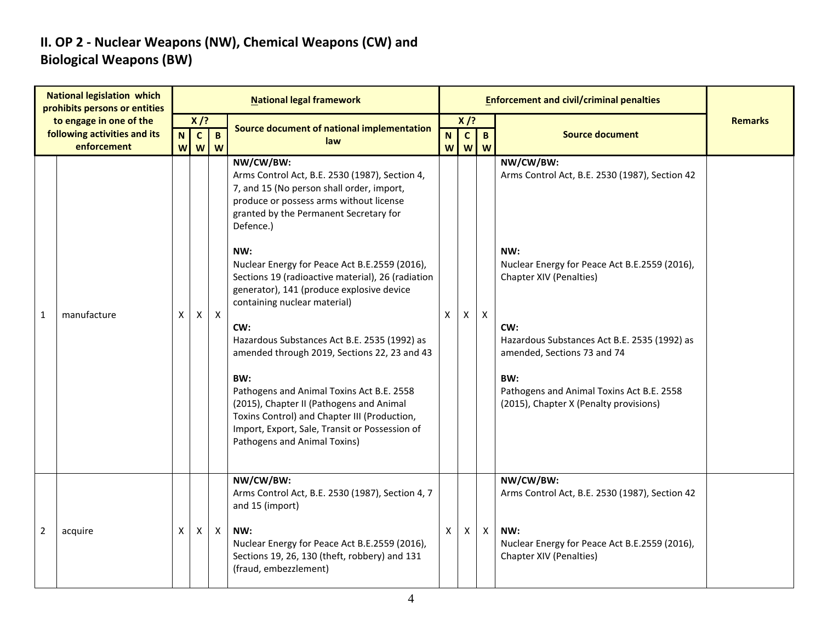## **II. OP 2 - Nuclear Weapons (NW), Chemical Weapons (CW) and Biological Weapons (BW)**

|              | <b>National legislation which</b><br>prohibits persons or entities     |                  |                                                     |                   | <b>National legal framework</b>                                                                                                                                                                                                                                                                                                                                                                                                                                                                                                                                                                                                                                                                                                               |                  |                             |                           | <b>Enforcement and civil/criminal penalties</b>                                                                                                                                                                                                                                                                                    |                |
|--------------|------------------------------------------------------------------------|------------------|-----------------------------------------------------|-------------------|-----------------------------------------------------------------------------------------------------------------------------------------------------------------------------------------------------------------------------------------------------------------------------------------------------------------------------------------------------------------------------------------------------------------------------------------------------------------------------------------------------------------------------------------------------------------------------------------------------------------------------------------------------------------------------------------------------------------------------------------------|------------------|-----------------------------|---------------------------|------------------------------------------------------------------------------------------------------------------------------------------------------------------------------------------------------------------------------------------------------------------------------------------------------------------------------------|----------------|
|              | to engage in one of the<br>following activities and its<br>enforcement | $\mathbf N$<br>W | $X$ /?<br>$\mathbf{C}$<br>$\boldsymbol{\mathsf{W}}$ | $\mathbf{B}$<br>W | Source document of national implementation<br>law                                                                                                                                                                                                                                                                                                                                                                                                                                                                                                                                                                                                                                                                                             | $\mathbf N$<br>W | $X$ /?<br>$\mathbf{C}$<br>W | $\mathbf{B}$<br>W         | <b>Source document</b>                                                                                                                                                                                                                                                                                                             | <b>Remarks</b> |
| $\mathbf{1}$ | manufacture                                                            | X                | X                                                   | $\mathsf{X}$      | NW/CW/BW:<br>Arms Control Act, B.E. 2530 (1987), Section 4,<br>7, and 15 (No person shall order, import,<br>produce or possess arms without license<br>granted by the Permanent Secretary for<br>Defence.)<br>NW:<br>Nuclear Energy for Peace Act B.E.2559 (2016),<br>Sections 19 (radioactive material), 26 (radiation<br>generator), 141 (produce explosive device<br>containing nuclear material)<br>CW:<br>Hazardous Substances Act B.E. 2535 (1992) as<br>amended through 2019, Sections 22, 23 and 43<br>BW:<br>Pathogens and Animal Toxins Act B.E. 2558<br>(2015), Chapter II (Pathogens and Animal<br>Toxins Control) and Chapter III (Production,<br>Import, Export, Sale, Transit or Possession of<br>Pathogens and Animal Toxins) | X                | X                           | $\mathsf{X}$              | NW/CW/BW:<br>Arms Control Act, B.E. 2530 (1987), Section 42<br>NW:<br>Nuclear Energy for Peace Act B.E.2559 (2016),<br>Chapter XIV (Penalties)<br>CW:<br>Hazardous Substances Act B.E. 2535 (1992) as<br>amended, Sections 73 and 74<br>BW:<br>Pathogens and Animal Toxins Act B.E. 2558<br>(2015), Chapter X (Penalty provisions) |                |
| 2            | acquire                                                                | X                | Χ                                                   | X                 | NW/CW/BW:<br>Arms Control Act, B.E. 2530 (1987), Section 4, 7<br>and 15 (import)<br>NW:<br>Nuclear Energy for Peace Act B.E.2559 (2016),<br>Sections 19, 26, 130 (theft, robbery) and 131<br>(fraud, embezzlement)                                                                                                                                                                                                                                                                                                                                                                                                                                                                                                                            | X                | X                           | $\boldsymbol{\mathsf{X}}$ | NW/CW/BW:<br>Arms Control Act, B.E. 2530 (1987), Section 42<br>NW:<br>Nuclear Energy for Peace Act B.E.2559 (2016),<br>Chapter XIV (Penalties)                                                                                                                                                                                     |                |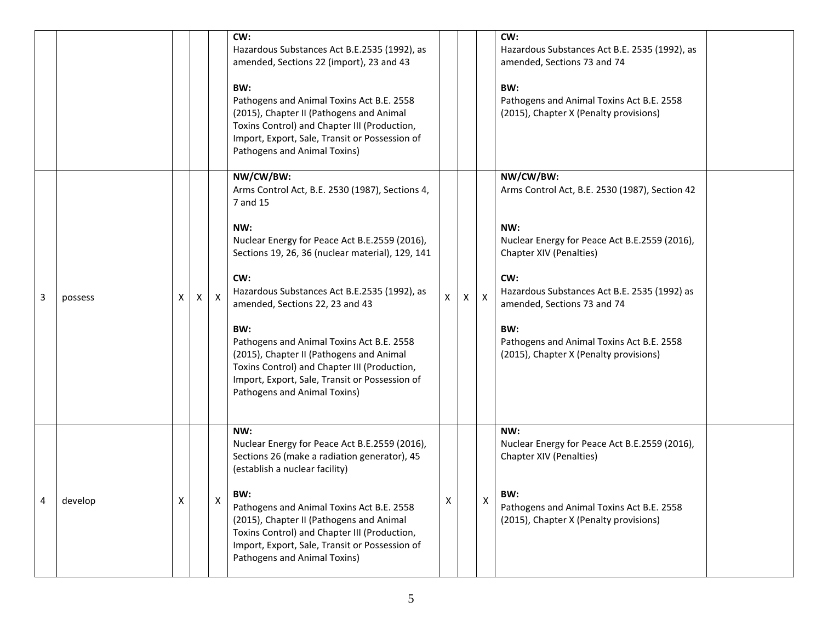|   |         |   |   |   | CW:<br>Hazardous Substances Act B.E.2535 (1992), as<br>amended, Sections 22 (import), 23 and 43<br>BW:<br>Pathogens and Animal Toxins Act B.E. 2558<br>(2015), Chapter II (Pathogens and Animal<br>Toxins Control) and Chapter III (Production,<br>Import, Export, Sale, Transit or Possession of<br>Pathogens and Animal Toxins)                                                                                                                                                                                |   |   |              | CW:<br>Hazardous Substances Act B.E. 2535 (1992), as<br>amended, Sections 73 and 74<br>BW:<br>Pathogens and Animal Toxins Act B.E. 2558<br>(2015), Chapter X (Penalty provisions)                                                                                                                                                  |
|---|---------|---|---|---|------------------------------------------------------------------------------------------------------------------------------------------------------------------------------------------------------------------------------------------------------------------------------------------------------------------------------------------------------------------------------------------------------------------------------------------------------------------------------------------------------------------|---|---|--------------|------------------------------------------------------------------------------------------------------------------------------------------------------------------------------------------------------------------------------------------------------------------------------------------------------------------------------------|
| 3 | possess | X | X | X | NW/CW/BW:<br>Arms Control Act, B.E. 2530 (1987), Sections 4,<br>7 and 15<br>NW:<br>Nuclear Energy for Peace Act B.E.2559 (2016),<br>Sections 19, 26, 36 (nuclear material), 129, 141<br>CW:<br>Hazardous Substances Act B.E.2535 (1992), as<br>amended, Sections 22, 23 and 43<br>BW:<br>Pathogens and Animal Toxins Act B.E. 2558<br>(2015), Chapter II (Pathogens and Animal<br>Toxins Control) and Chapter III (Production,<br>Import, Export, Sale, Transit or Possession of<br>Pathogens and Animal Toxins) | X | X | $\mathsf{X}$ | NW/CW/BW:<br>Arms Control Act, B.E. 2530 (1987), Section 42<br>NW:<br>Nuclear Energy for Peace Act B.E.2559 (2016),<br>Chapter XIV (Penalties)<br>CW:<br>Hazardous Substances Act B.E. 2535 (1992) as<br>amended, Sections 73 and 74<br>BW:<br>Pathogens and Animal Toxins Act B.E. 2558<br>(2015), Chapter X (Penalty provisions) |
| 4 | develop | X |   | х | NW:<br>Nuclear Energy for Peace Act B.E.2559 (2016),<br>Sections 26 (make a radiation generator), 45<br>(establish a nuclear facility)<br>BW:<br>Pathogens and Animal Toxins Act B.E. 2558<br>(2015), Chapter II (Pathogens and Animal<br>Toxins Control) and Chapter III (Production,<br>Import, Export, Sale, Transit or Possession of<br>Pathogens and Animal Toxins)                                                                                                                                         | X |   | X            | NW:<br>Nuclear Energy for Peace Act B.E.2559 (2016),<br>Chapter XIV (Penalties)<br>BW:<br>Pathogens and Animal Toxins Act B.E. 2558<br>(2015), Chapter X (Penalty provisions)                                                                                                                                                      |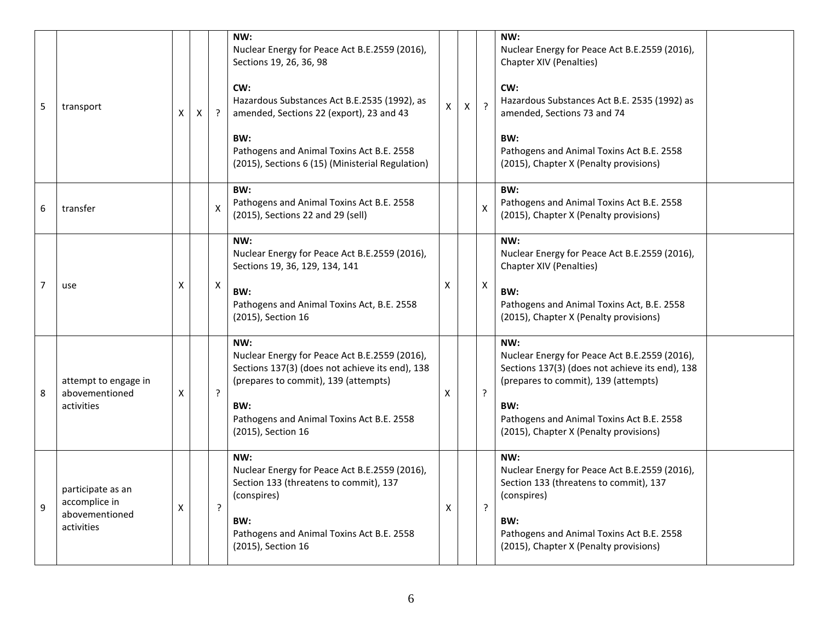| 5              | transport                                                          | X | X |         | NW:<br>Nuclear Energy for Peace Act B.E.2559 (2016),<br>Sections 19, 26, 36, 98<br>CW:<br>Hazardous Substances Act B.E.2535 (1992), as<br>amended, Sections 22 (export), 23 and 43<br>BW:<br>Pathogens and Animal Toxins Act B.E. 2558<br>(2015), Sections 6 (15) (Ministerial Regulation) | X | X | $\overline{?}$ | NW:<br>Nuclear Energy for Peace Act B.E.2559 (2016),<br>Chapter XIV (Penalties)<br>CW:<br>Hazardous Substances Act B.E. 2535 (1992) as<br>amended, Sections 73 and 74<br>BW:<br>Pathogens and Animal Toxins Act B.E. 2558<br>(2015), Chapter X (Penalty provisions) |
|----------------|--------------------------------------------------------------------|---|---|---------|--------------------------------------------------------------------------------------------------------------------------------------------------------------------------------------------------------------------------------------------------------------------------------------------|---|---|----------------|---------------------------------------------------------------------------------------------------------------------------------------------------------------------------------------------------------------------------------------------------------------------|
| 6              | transfer                                                           |   |   | X       | BW:<br>Pathogens and Animal Toxins Act B.E. 2558<br>(2015), Sections 22 and 29 (sell)                                                                                                                                                                                                      |   |   | $\mathsf{X}$   | BW:<br>Pathogens and Animal Toxins Act B.E. 2558<br>(2015), Chapter X (Penalty provisions)                                                                                                                                                                          |
| $\overline{7}$ | use                                                                | X |   | Χ       | NW:<br>Nuclear Energy for Peace Act B.E.2559 (2016),<br>Sections 19, 36, 129, 134, 141<br>BW:<br>Pathogens and Animal Toxins Act, B.E. 2558<br>(2015), Section 16                                                                                                                          | X |   | X              | NW:<br>Nuclear Energy for Peace Act B.E.2559 (2016),<br>Chapter XIV (Penalties)<br>BW:<br>Pathogens and Animal Toxins Act, B.E. 2558<br>(2015), Chapter X (Penalty provisions)                                                                                      |
| -8             | attempt to engage in<br>abovementioned<br>activities               | X |   | $\cdot$ | NW:<br>Nuclear Energy for Peace Act B.E.2559 (2016),<br>Sections 137(3) (does not achieve its end), 138<br>(prepares to commit), 139 (attempts)<br>BW:<br>Pathogens and Animal Toxins Act B.E. 2558<br>(2015), Section 16                                                                  | X |   | $\tilde{.}$    | NW:<br>Nuclear Energy for Peace Act B.E.2559 (2016),<br>Sections 137(3) (does not achieve its end), 138<br>(prepares to commit), 139 (attempts)<br>BW:<br>Pathogens and Animal Toxins Act B.E. 2558<br>(2015), Chapter X (Penalty provisions)                       |
| 9              | participate as an<br>accomplice in<br>abovementioned<br>activities | x |   | ?       | NW:<br>Nuclear Energy for Peace Act B.E.2559 (2016),<br>Section 133 (threatens to commit), 137<br>(conspires)<br>BW:<br>Pathogens and Animal Toxins Act B.E. 2558<br>(2015), Section 16                                                                                                    | X |   | $\cdot$        | NW:<br>Nuclear Energy for Peace Act B.E.2559 (2016),<br>Section 133 (threatens to commit), 137<br>(conspires)<br>BW:<br>Pathogens and Animal Toxins Act B.E. 2558<br>(2015), Chapter X (Penalty provisions)                                                         |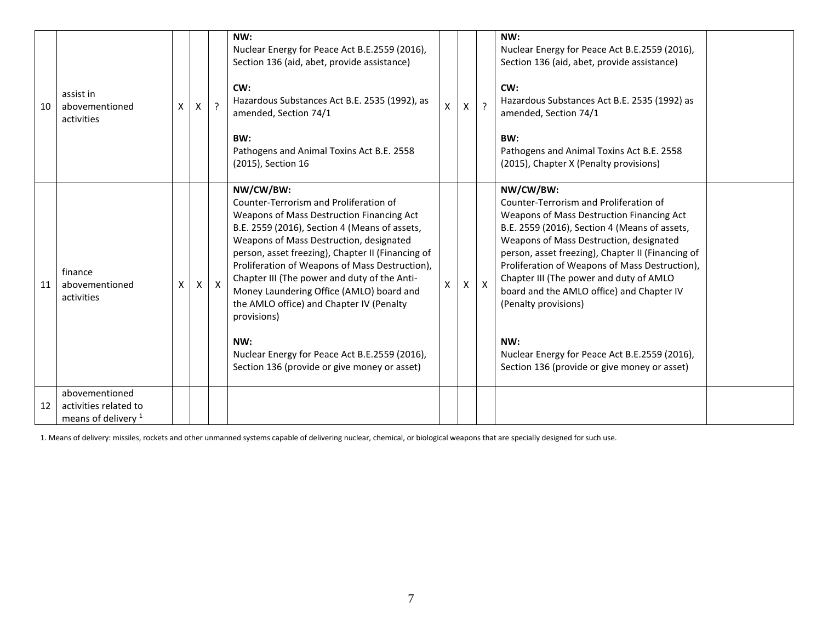| 10 | assist in<br>abovementioned<br>activities                                 | X | X. | $\overline{?}$ | NW:<br>Nuclear Energy for Peace Act B.E.2559 (2016),<br>Section 136 (aid, abet, provide assistance)<br>CW:<br>Hazardous Substances Act B.E. 2535 (1992), as<br>amended, Section 74/1<br>BW:<br>Pathogens and Animal Toxins Act B.E. 2558<br>(2015), Section 16                                                                                                                                                                                                                                                                                                     | X | $\overline{?}$ | NW:<br>Nuclear Energy for Peace Act B.E.2559 (2016),<br>Section 136 (aid, abet, provide assistance)<br>CW:<br>Hazardous Substances Act B.E. 2535 (1992) as<br>amended, Section 74/1<br>BW:<br>Pathogens and Animal Toxins Act B.E. 2558<br>(2015), Chapter X (Penalty provisions)                                                                                                                                                                                                                                           |  |
|----|---------------------------------------------------------------------------|---|----|----------------|--------------------------------------------------------------------------------------------------------------------------------------------------------------------------------------------------------------------------------------------------------------------------------------------------------------------------------------------------------------------------------------------------------------------------------------------------------------------------------------------------------------------------------------------------------------------|---|----------------|-----------------------------------------------------------------------------------------------------------------------------------------------------------------------------------------------------------------------------------------------------------------------------------------------------------------------------------------------------------------------------------------------------------------------------------------------------------------------------------------------------------------------------|--|
| 11 | finance<br>abovementioned<br>activities                                   | X | X  | $\mathsf{X}$   | NW/CW/BW:<br>Counter-Terrorism and Proliferation of<br>Weapons of Mass Destruction Financing Act<br>B.E. 2559 (2016), Section 4 (Means of assets,<br>Weapons of Mass Destruction, designated<br>person, asset freezing), Chapter II (Financing of<br>Proliferation of Weapons of Mass Destruction),<br>Chapter III (The power and duty of the Anti-<br>Money Laundering Office (AMLO) board and<br>the AMLO office) and Chapter IV (Penalty<br>provisions)<br>NW:<br>Nuclear Energy for Peace Act B.E.2559 (2016),<br>Section 136 (provide or give money or asset) | X | $\mathsf{X}$   | NW/CW/BW:<br>Counter-Terrorism and Proliferation of<br>Weapons of Mass Destruction Financing Act<br>B.E. 2559 (2016), Section 4 (Means of assets,<br>Weapons of Mass Destruction, designated<br>person, asset freezing), Chapter II (Financing of<br>Proliferation of Weapons of Mass Destruction),<br>Chapter III (The power and duty of AMLO<br>board and the AMLO office) and Chapter IV<br>(Penalty provisions)<br>NW:<br>Nuclear Energy for Peace Act B.E.2559 (2016),<br>Section 136 (provide or give money or asset) |  |
| 12 | abovementioned<br>activities related to<br>means of delivery <sup>1</sup> |   |    |                |                                                                                                                                                                                                                                                                                                                                                                                                                                                                                                                                                                    |   |                |                                                                                                                                                                                                                                                                                                                                                                                                                                                                                                                             |  |

1. Means of delivery: missiles, rockets and other unmanned systems capable of delivering nuclear, chemical, or biological weapons that are specially designed for such use.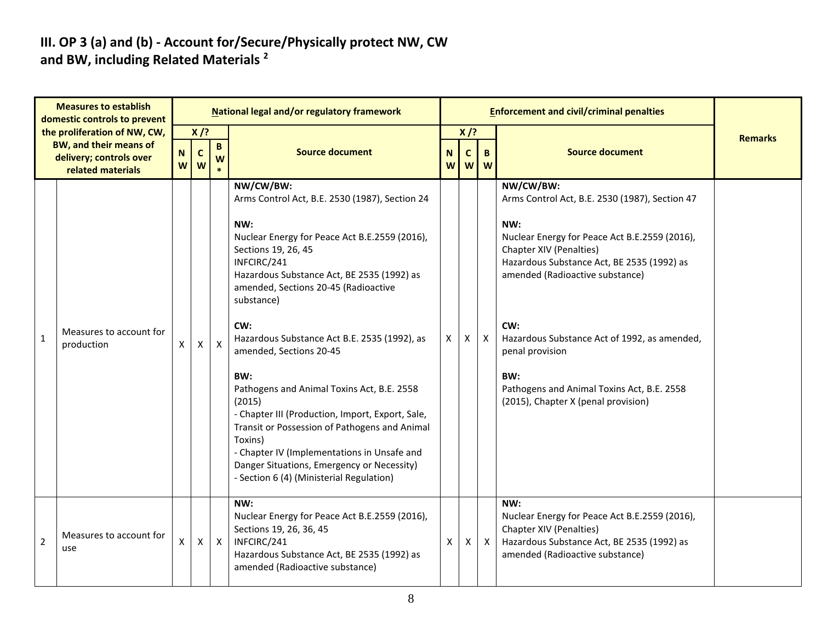#### **III. OP 3 (a) and (b) - Account for/Secure/Physically protect NW, CW and BW, including Related Materials <sup>2</sup>**

| <b>Measures to establish</b><br>domestic controls to prevent |                                                                                                               | National legal and/or regulatory framework |                            |                   |                                                                                                                                                                                                                                                                                                                      |                    |                  | <b>Enforcement and civil/criminal penalties</b> |                                                                                                                                                                  |                |  |  |
|--------------------------------------------------------------|---------------------------------------------------------------------------------------------------------------|--------------------------------------------|----------------------------|-------------------|----------------------------------------------------------------------------------------------------------------------------------------------------------------------------------------------------------------------------------------------------------------------------------------------------------------------|--------------------|------------------|-------------------------------------------------|------------------------------------------------------------------------------------------------------------------------------------------------------------------|----------------|--|--|
|                                                              | the proliferation of NW, CW,<br><b>BW, and their means of</b><br>delivery; controls over<br>related materials | $\mathbf N$<br>W                           | $X$ /?<br>$\mathbf c$<br>W | $\mathbf{B}$<br>W | <b>Source document</b>                                                                                                                                                                                                                                                                                               | $\mathbf N$<br>W   | $X$ /?<br>C<br>W | B<br><b>W</b>                                   | <b>Source document</b>                                                                                                                                           | <b>Remarks</b> |  |  |
|                                                              |                                                                                                               |                                            |                            |                   | NW/CW/BW:<br>Arms Control Act, B.E. 2530 (1987), Section 24<br>NW:                                                                                                                                                                                                                                                   |                    |                  |                                                 | NW/CW/BW:<br>Arms Control Act, B.E. 2530 (1987), Section 47<br>NW:                                                                                               |                |  |  |
|                                                              |                                                                                                               |                                            |                            |                   | Nuclear Energy for Peace Act B.E.2559 (2016),<br>Sections 19, 26, 45<br>INFCIRC/241<br>Hazardous Substance Act, BE 2535 (1992) as<br>amended, Sections 20-45 (Radioactive<br>substance)                                                                                                                              |                    |                  |                                                 | Nuclear Energy for Peace Act B.E.2559 (2016),<br>Chapter XIV (Penalties)<br>Hazardous Substance Act, BE 2535 (1992) as<br>amended (Radioactive substance)        |                |  |  |
| $\mathbf{1}$                                                 | Measures to account for<br>production                                                                         | X                                          | X                          | $\mathsf{X}$      | CW:<br>Hazardous Substance Act B.E. 2535 (1992), as<br>amended, Sections 20-45                                                                                                                                                                                                                                       | $\mathsf{X}$       | $\mathsf{X}$     | $\mathsf{X}^-$                                  | CW:<br>Hazardous Substance Act of 1992, as amended,<br>penal provision                                                                                           |                |  |  |
|                                                              |                                                                                                               |                                            |                            |                   | BW:<br>Pathogens and Animal Toxins Act, B.E. 2558<br>(2015)<br>- Chapter III (Production, Import, Export, Sale,<br>Transit or Possession of Pathogens and Animal<br>Toxins)<br>- Chapter IV (Implementations in Unsafe and<br>Danger Situations, Emergency or Necessity)<br>- Section 6 (4) (Ministerial Regulation) |                    |                  |                                                 | BW:<br>Pathogens and Animal Toxins Act, B.E. 2558<br>(2015), Chapter X (penal provision)                                                                         |                |  |  |
| $\overline{2}$                                               | Measures to account for<br>use                                                                                | $\pmb{\mathsf{X}}$                         | X                          | $\mathsf{X}$      | NW:<br>Nuclear Energy for Peace Act B.E.2559 (2016),<br>Sections 19, 26, 36, 45<br>INFCIRC/241<br>Hazardous Substance Act, BE 2535 (1992) as<br>amended (Radioactive substance)                                                                                                                                      | $\pmb{\mathsf{X}}$ | X                | $\mathsf{X}$                                    | NW:<br>Nuclear Energy for Peace Act B.E.2559 (2016),<br>Chapter XIV (Penalties)<br>Hazardous Substance Act, BE 2535 (1992) as<br>amended (Radioactive substance) |                |  |  |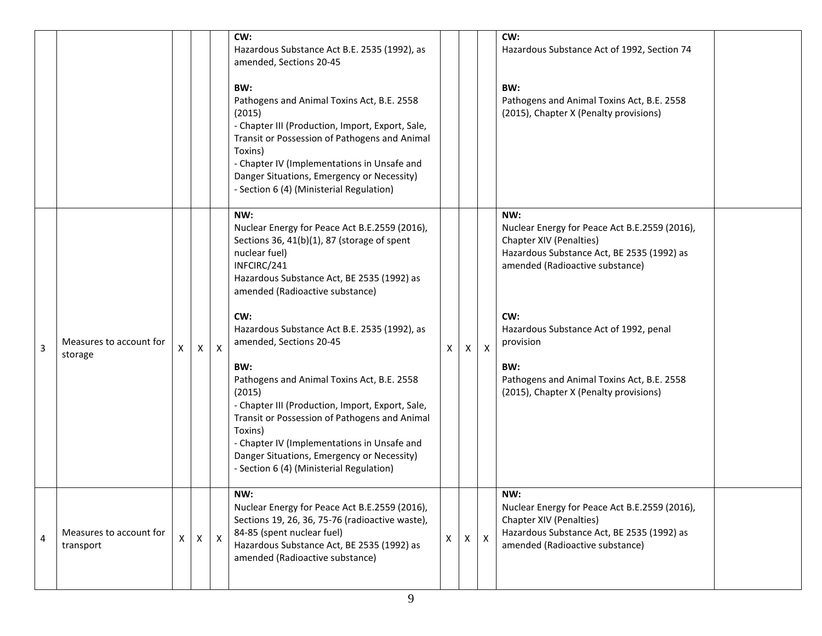|                |                                      |   |              |              | CW:<br>Hazardous Substance Act B.E. 2535 (1992), as<br>amended, Sections 20-45<br>BW:<br>Pathogens and Animal Toxins Act, B.E. 2558<br>(2015)<br>- Chapter III (Production, Import, Export, Sale,<br>Transit or Possession of Pathogens and Animal<br>Toxins)<br>- Chapter IV (Implementations in Unsafe and<br>Danger Situations, Emergency or Necessity)<br>- Section 6 (4) (Ministerial Regulation)                                                                                                                                                                                                                         |   |              |              | CW:<br>Hazardous Substance Act of 1992, Section 74<br>BW:<br>Pathogens and Animal Toxins Act, B.E. 2558<br>(2015), Chapter X (Penalty provisions)                                                                                                                                                                             |  |
|----------------|--------------------------------------|---|--------------|--------------|--------------------------------------------------------------------------------------------------------------------------------------------------------------------------------------------------------------------------------------------------------------------------------------------------------------------------------------------------------------------------------------------------------------------------------------------------------------------------------------------------------------------------------------------------------------------------------------------------------------------------------|---|--------------|--------------|-------------------------------------------------------------------------------------------------------------------------------------------------------------------------------------------------------------------------------------------------------------------------------------------------------------------------------|--|
| 3              | Measures to account for<br>storage   | X | X            | $\mathsf{x}$ | NW:<br>Nuclear Energy for Peace Act B.E.2559 (2016),<br>Sections 36, 41(b)(1), 87 (storage of spent<br>nuclear fuel)<br>INFCIRC/241<br>Hazardous Substance Act, BE 2535 (1992) as<br>amended (Radioactive substance)<br>CW:<br>Hazardous Substance Act B.E. 2535 (1992), as<br>amended, Sections 20-45<br>BW:<br>Pathogens and Animal Toxins Act, B.E. 2558<br>(2015)<br>- Chapter III (Production, Import, Export, Sale,<br>Transit or Possession of Pathogens and Animal<br>Toxins)<br>- Chapter IV (Implementations in Unsafe and<br>Danger Situations, Emergency or Necessity)<br>- Section 6 (4) (Ministerial Regulation) | X | $\mathsf{X}$ | $\mathsf{X}$ | NW:<br>Nuclear Energy for Peace Act B.E.2559 (2016),<br>Chapter XIV (Penalties)<br>Hazardous Substance Act, BE 2535 (1992) as<br>amended (Radioactive substance)<br>CW:<br>Hazardous Substance Act of 1992, penal<br>provision<br>BW:<br>Pathogens and Animal Toxins Act, B.E. 2558<br>(2015), Chapter X (Penalty provisions) |  |
| $\overline{4}$ | Measures to account for<br>transport |   | $\mathsf{X}$ | $\mathsf{X}$ | NW:<br>Nuclear Energy for Peace Act B.E.2559 (2016),<br>Sections 19, 26, 36, 75-76 (radioactive waste),<br>84-85 (spent nuclear fuel)<br>Hazardous Substance Act, BE 2535 (1992) as<br>amended (Radioactive substance)                                                                                                                                                                                                                                                                                                                                                                                                         | X | X            | $\mathsf{X}$ | NW:<br>Nuclear Energy for Peace Act B.E.2559 (2016),<br>Chapter XIV (Penalties)<br>Hazardous Substance Act, BE 2535 (1992) as<br>amended (Radioactive substance)                                                                                                                                                              |  |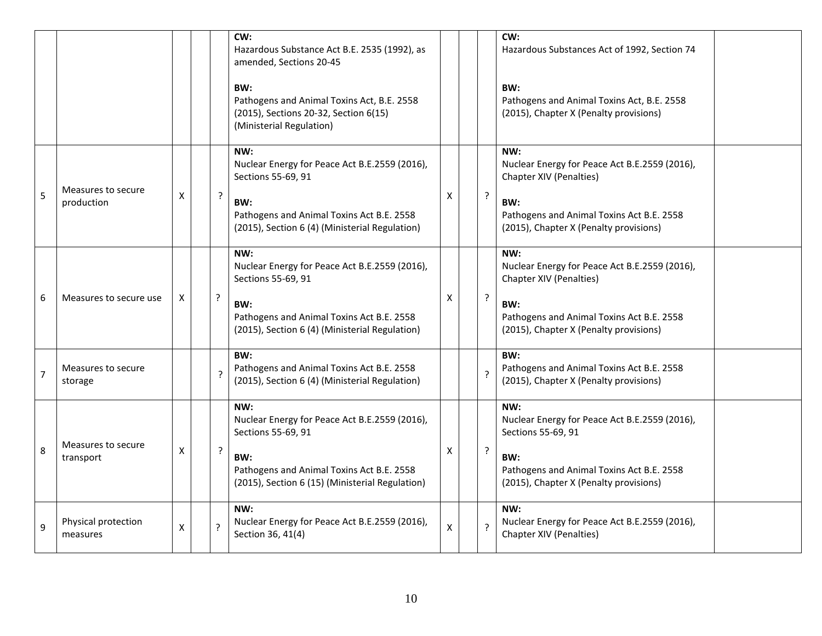|                |                                  |   |                          | CW:<br>Hazardous Substance Act B.E. 2535 (1992), as<br>amended, Sections 20-45<br>BW:<br>Pathogens and Animal Toxins Act, B.E. 2558<br>(2015), Sections 20-32, Section 6(15)<br>(Ministerial Regulation) |                    |                | CW:<br>Hazardous Substances Act of 1992, Section 74<br>BW:<br>Pathogens and Animal Toxins Act, B.E. 2558<br>(2015), Chapter X (Penalty provisions)                            |  |
|----------------|----------------------------------|---|--------------------------|----------------------------------------------------------------------------------------------------------------------------------------------------------------------------------------------------------|--------------------|----------------|-------------------------------------------------------------------------------------------------------------------------------------------------------------------------------|--|
| 5              | Measures to secure<br>production | X | ?                        | NW:<br>Nuclear Energy for Peace Act B.E.2559 (2016),<br>Sections 55-69, 91<br>BW:<br>Pathogens and Animal Toxins Act B.E. 2558<br>(2015), Section 6 (4) (Ministerial Regulation)                         | Χ                  | ?              | NW:<br>Nuclear Energy for Peace Act B.E.2559 (2016),<br>Chapter XIV (Penalties)<br>BW:<br>Pathogens and Animal Toxins Act B.E. 2558<br>(2015), Chapter X (Penalty provisions) |  |
| 6              | Measures to secure use           | X | ?                        | NW:<br>Nuclear Energy for Peace Act B.E.2559 (2016),<br>Sections 55-69, 91<br>BW:<br>Pathogens and Animal Toxins Act B.E. 2558<br>(2015), Section 6 (4) (Ministerial Regulation)                         | X                  | ?              | NW:<br>Nuclear Energy for Peace Act B.E.2559 (2016),<br>Chapter XIV (Penalties)<br>BW:<br>Pathogens and Animal Toxins Act B.E. 2558<br>(2015), Chapter X (Penalty provisions) |  |
| $\overline{7}$ | Measures to secure<br>storage    |   | $\overline{\phantom{a}}$ | BW:<br>Pathogens and Animal Toxins Act B.E. 2558<br>(2015), Section 6 (4) (Ministerial Regulation)                                                                                                       |                    | ?              | BW:<br>Pathogens and Animal Toxins Act B.E. 2558<br>(2015), Chapter X (Penalty provisions)                                                                                    |  |
| 8              | Measures to secure<br>transport  | X | $\cdot$                  | NW:<br>Nuclear Energy for Peace Act B.E.2559 (2016),<br>Sections 55-69, 91<br>BW:<br>Pathogens and Animal Toxins Act B.E. 2558<br>(2015), Section 6 (15) (Ministerial Regulation)                        | X                  | $\overline{?}$ | NW:<br>Nuclear Energy for Peace Act B.E.2559 (2016),<br>Sections 55-69, 91<br>BW:<br>Pathogens and Animal Toxins Act B.E. 2558<br>(2015), Chapter X (Penalty provisions)      |  |
| 9              | Physical protection<br>measures  | X | ?                        | NW:<br>Nuclear Energy for Peace Act B.E.2559 (2016),<br>Section 36, 41(4)                                                                                                                                | $\pmb{\mathsf{X}}$ | $\overline{?}$ | NW:<br>Nuclear Energy for Peace Act B.E.2559 (2016),<br>Chapter XIV (Penalties)                                                                                               |  |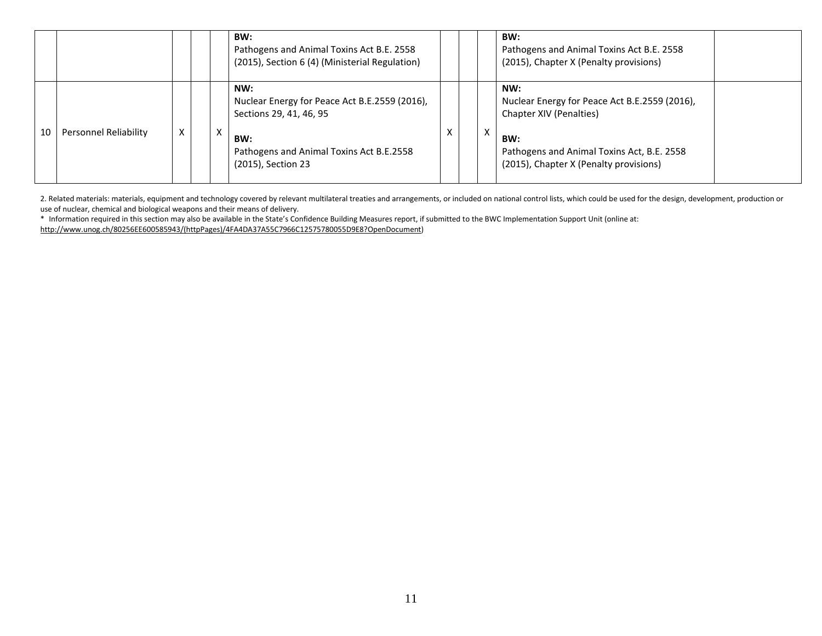|    |                       |   |   | BW:<br>Pathogens and Animal Toxins Act B.E. 2558<br>(2015), Section 6 (4) (Ministerial Regulation)                                                       |   |   | BW:<br>Pathogens and Animal Toxins Act B.E. 2558<br>(2015), Chapter X (Penalty provisions)                                                                                     |  |
|----|-----------------------|---|---|----------------------------------------------------------------------------------------------------------------------------------------------------------|---|---|--------------------------------------------------------------------------------------------------------------------------------------------------------------------------------|--|
| 10 | Personnel Reliability | X | x | NW:<br>Nuclear Energy for Peace Act B.E.2559 (2016),<br>Sections 29, 41, 46, 95<br>BW:<br>Pathogens and Animal Toxins Act B.E.2558<br>(2015), Section 23 | ⌒ | x | NW:<br>Nuclear Energy for Peace Act B.E.2559 (2016),<br>Chapter XIV (Penalties)<br>BW:<br>Pathogens and Animal Toxins Act, B.E. 2558<br>(2015), Chapter X (Penalty provisions) |  |

2. Related materials: materials, equipment and technology covered by relevant multilateral treaties and arrangements, or included on national control lists, which could be used for the design, development, production or use of nuclear, chemical and biological weapons and their means of delivery.

\* Information required in this section may also be available in the State's Confidence Building Measures report, if submitted to the BWC Implementation Support Unit (online at: [http://www.unog.ch/80256EE600585943/\(httpPages\)/4FA4DA37A55C7966C12575780055D9E8?OpenDocument\)](http://www.unog.ch/80256EE600585943/(httpPages)/4FA4DA37A55C7966C12575780055D9E8?OpenDocument)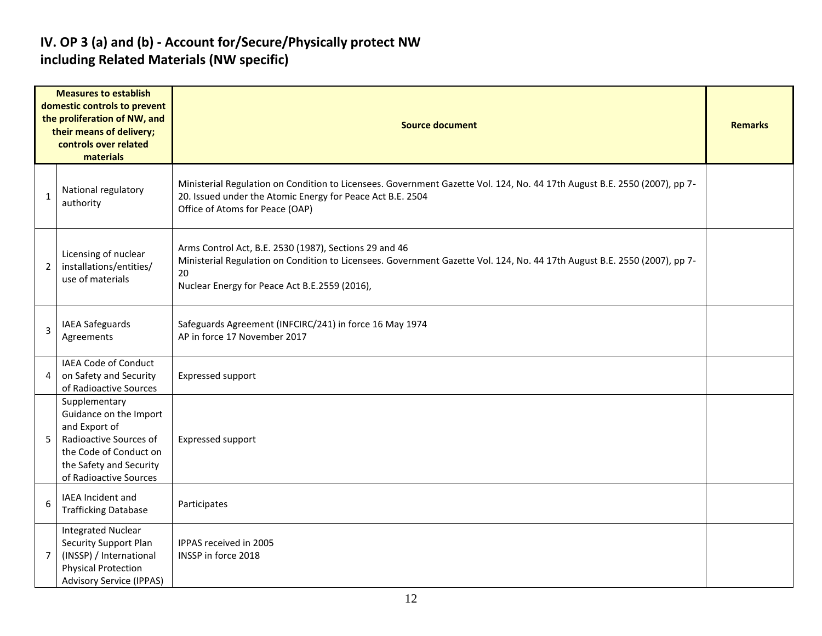### **IV. OP 3 (a) and (b) - Account for/Secure/Physically protect NW including Related Materials (NW specific)**

| <b>Measures to establish</b><br>domestic controls to prevent<br>the proliferation of NW, and<br>their means of delivery;<br>controls over related<br>materials |                                                                                                                                                                   | <b>Source document</b>                                                                                                                                                                                                                     |  |  |  |  |  |  |  |
|----------------------------------------------------------------------------------------------------------------------------------------------------------------|-------------------------------------------------------------------------------------------------------------------------------------------------------------------|--------------------------------------------------------------------------------------------------------------------------------------------------------------------------------------------------------------------------------------------|--|--|--|--|--|--|--|
| 1                                                                                                                                                              | National regulatory<br>authority                                                                                                                                  | Ministerial Regulation on Condition to Licensees. Government Gazette Vol. 124, No. 44 17th August B.E. 2550 (2007), pp 7-<br>20. Issued under the Atomic Energy for Peace Act B.E. 2504<br>Office of Atoms for Peace (OAP)                 |  |  |  |  |  |  |  |
| $\overline{2}$                                                                                                                                                 | Licensing of nuclear<br>installations/entities/<br>use of materials                                                                                               | Arms Control Act, B.E. 2530 (1987), Sections 29 and 46<br>Ministerial Regulation on Condition to Licensees. Government Gazette Vol. 124, No. 44 17th August B.E. 2550 (2007), pp 7-<br>20<br>Nuclear Energy for Peace Act B.E.2559 (2016), |  |  |  |  |  |  |  |
| 3                                                                                                                                                              | <b>IAEA Safeguards</b><br>Agreements                                                                                                                              | Safeguards Agreement (INFCIRC/241) in force 16 May 1974<br>AP in force 17 November 2017                                                                                                                                                    |  |  |  |  |  |  |  |
| 4                                                                                                                                                              | <b>IAEA Code of Conduct</b><br>on Safety and Security<br>of Radioactive Sources                                                                                   | Expressed support                                                                                                                                                                                                                          |  |  |  |  |  |  |  |
| 5                                                                                                                                                              | Supplementary<br>Guidance on the Import<br>and Export of<br>Radioactive Sources of<br>the Code of Conduct on<br>the Safety and Security<br>of Radioactive Sources | <b>Expressed support</b>                                                                                                                                                                                                                   |  |  |  |  |  |  |  |
| 6                                                                                                                                                              | IAEA Incident and<br><b>Trafficking Database</b>                                                                                                                  | Participates                                                                                                                                                                                                                               |  |  |  |  |  |  |  |
| $\overline{7}$                                                                                                                                                 | <b>Integrated Nuclear</b><br>Security Support Plan<br>(INSSP) / International<br><b>Physical Protection</b><br><b>Advisory Service (IPPAS)</b>                    | IPPAS received in 2005<br>INSSP in force 2018                                                                                                                                                                                              |  |  |  |  |  |  |  |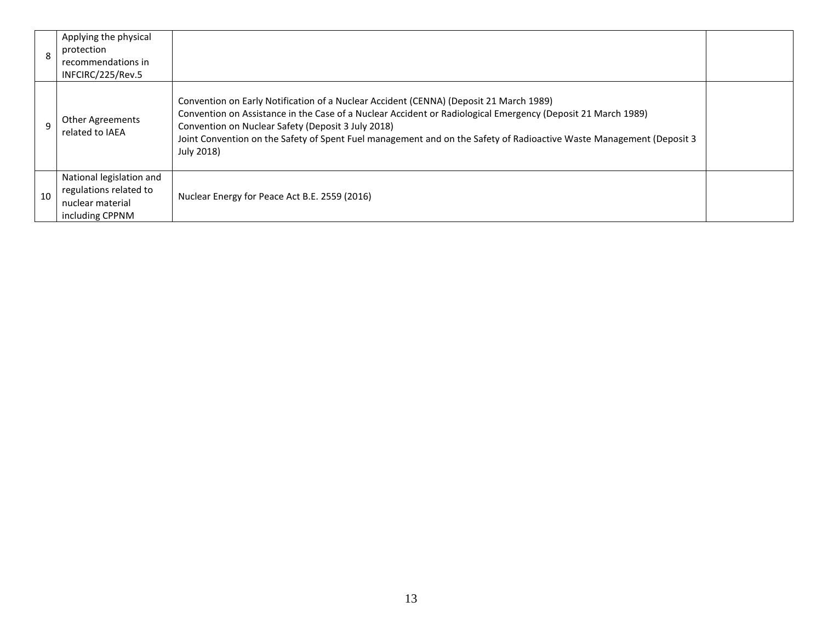| 8  | Applying the physical<br>protection<br>recommendations in<br>INFCIRC/225/Rev.5            |                                                                                                                                                                                                                                                                                                                                                                                                    |  |
|----|-------------------------------------------------------------------------------------------|----------------------------------------------------------------------------------------------------------------------------------------------------------------------------------------------------------------------------------------------------------------------------------------------------------------------------------------------------------------------------------------------------|--|
| 9  | Other Agreements<br>related to IAEA                                                       | Convention on Early Notification of a Nuclear Accident (CENNA) (Deposit 21 March 1989)<br>Convention on Assistance in the Case of a Nuclear Accident or Radiological Emergency (Deposit 21 March 1989)<br>Convention on Nuclear Safety (Deposit 3 July 2018)<br>Joint Convention on the Safety of Spent Fuel management and on the Safety of Radioactive Waste Management (Deposit 3<br>July 2018) |  |
| 10 | National legislation and<br>regulations related to<br>nuclear material<br>including CPPNM | Nuclear Energy for Peace Act B.E. 2559 (2016)                                                                                                                                                                                                                                                                                                                                                      |  |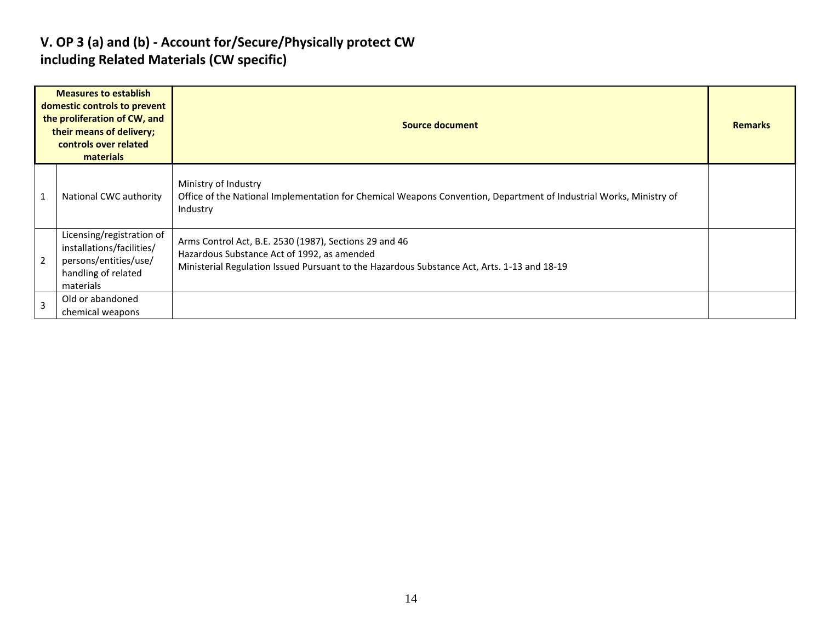### **V. OP 3 (a) and (b) - Account for/Secure/Physically protect CW including Related Materials (CW specific)**

| <b>Measures to establish</b><br>domestic controls to prevent<br>the proliferation of CW, and<br>their means of delivery;<br>controls over related<br>materials |                                                                                                                     | <b>Source document</b>                                                                                                                                                                               | <b>Remarks</b> |
|----------------------------------------------------------------------------------------------------------------------------------------------------------------|---------------------------------------------------------------------------------------------------------------------|------------------------------------------------------------------------------------------------------------------------------------------------------------------------------------------------------|----------------|
|                                                                                                                                                                | National CWC authority                                                                                              | Ministry of Industry<br>Office of the National Implementation for Chemical Weapons Convention, Department of Industrial Works, Ministry of<br>Industry                                               |                |
| $\overline{2}$                                                                                                                                                 | Licensing/registration of<br>installations/facilities/<br>persons/entities/use/<br>handling of related<br>materials | Arms Control Act, B.E. 2530 (1987), Sections 29 and 46<br>Hazardous Substance Act of 1992, as amended<br>Ministerial Regulation Issued Pursuant to the Hazardous Substance Act, Arts. 1-13 and 18-19 |                |
| $\overline{3}$                                                                                                                                                 | Old or abandoned<br>chemical weapons                                                                                |                                                                                                                                                                                                      |                |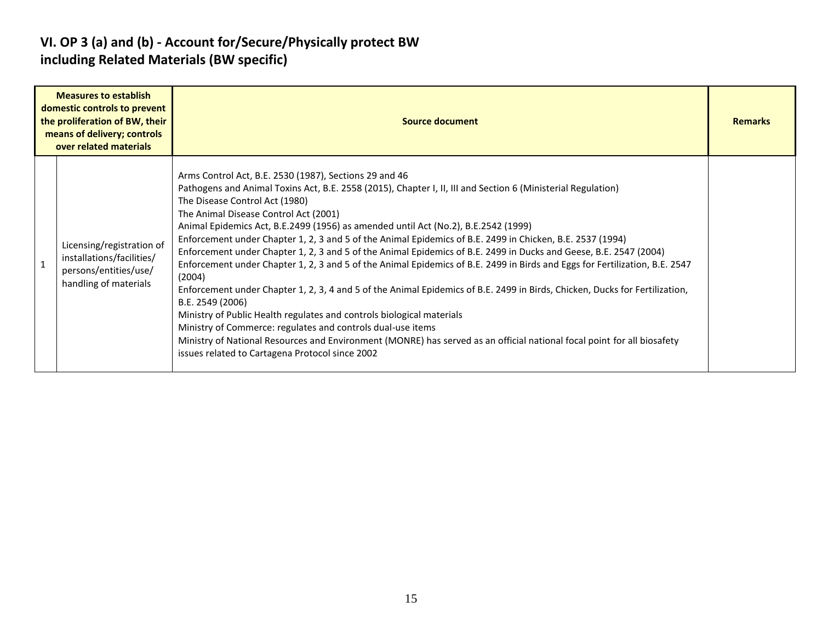### **VI. OP 3 (a) and (b) - Account for/Secure/Physically protect BW including Related Materials (BW specific)**

|                | <b>Measures to establish</b><br>domestic controls to prevent<br>the proliferation of BW, their<br>means of delivery; controls<br>over related materials | <b>Source document</b>                                                                                                                                                                                                                                                                                                                                                                                                                                                                                                                                                                                                                                                                                                                                                                                                                                                                                                                                                                                                                                                                                                                                                                      | <b>Remarks</b> |
|----------------|---------------------------------------------------------------------------------------------------------------------------------------------------------|---------------------------------------------------------------------------------------------------------------------------------------------------------------------------------------------------------------------------------------------------------------------------------------------------------------------------------------------------------------------------------------------------------------------------------------------------------------------------------------------------------------------------------------------------------------------------------------------------------------------------------------------------------------------------------------------------------------------------------------------------------------------------------------------------------------------------------------------------------------------------------------------------------------------------------------------------------------------------------------------------------------------------------------------------------------------------------------------------------------------------------------------------------------------------------------------|----------------|
| $\overline{1}$ | Licensing/registration of<br>installations/facilities/<br>persons/entities/use/<br>handling of materials                                                | Arms Control Act, B.E. 2530 (1987), Sections 29 and 46<br>Pathogens and Animal Toxins Act, B.E. 2558 (2015), Chapter I, II, III and Section 6 (Ministerial Regulation)<br>The Disease Control Act (1980)<br>The Animal Disease Control Act (2001)<br>Animal Epidemics Act, B.E.2499 (1956) as amended until Act (No.2), B.E.2542 (1999)<br>Enforcement under Chapter 1, 2, 3 and 5 of the Animal Epidemics of B.E. 2499 in Chicken, B.E. 2537 (1994)<br>Enforcement under Chapter 1, 2, 3 and 5 of the Animal Epidemics of B.E. 2499 in Ducks and Geese, B.E. 2547 (2004)<br>Enforcement under Chapter 1, 2, 3 and 5 of the Animal Epidemics of B.E. 2499 in Birds and Eggs for Fertilization, B.E. 2547<br>(2004)<br>Enforcement under Chapter 1, 2, 3, 4 and 5 of the Animal Epidemics of B.E. 2499 in Birds, Chicken, Ducks for Fertilization,<br>B.E. 2549 (2006)<br>Ministry of Public Health regulates and controls biological materials<br>Ministry of Commerce: regulates and controls dual-use items<br>Ministry of National Resources and Environment (MONRE) has served as an official national focal point for all biosafety<br>issues related to Cartagena Protocol since 2002 |                |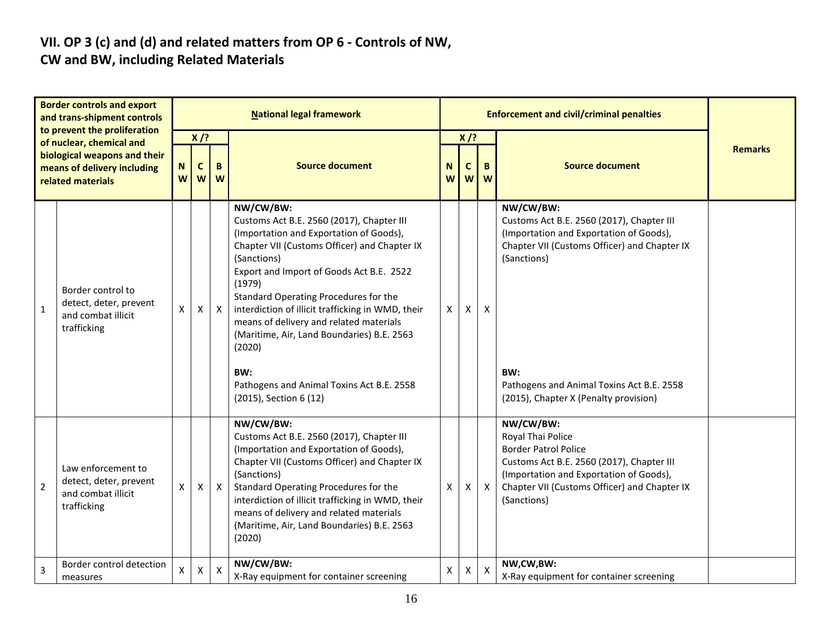#### **VII. OP 3 (c) and (d) and related matters from OP 6 - Controls of NW, CW and BW, including Related Materials**

#### **Border controls and export and trans-shipment controls to prevent the proliferation of nuclear, chemical and biological weapons and their means of delivery including related materials National legal framework Enforcement and civil/criminal penalties Remarks X /? Source document N Source document X /? W C W B W N W C W B W** 1 Border control to detect, deter, prevent and combat illicit trafficking  $x \mid x \mid x$ **NW/CW/BW:** Customs Act B.E. 2560 (2017), Chapter III (Importation and Exportation of Goods), Chapter VII (Customs Officer) and Chapter IX (Sanctions) Export and Import of Goods Act B.E. 2522 (1979) Standard Operating Procedures for the interdiction of illicit trafficking in WMD, their means of delivery and related materials (Maritime, Air, Land Boundaries) B.E. 2563 (2020) **BW:** Pathogens and Animal Toxins Act B.E. 2558 (2015), Section 6 (12)  $x \mid x \mid x$ **NW/CW/BW:** Customs Act B.E. 2560 (2017), Chapter III (Importation and Exportation of Goods), Chapter VII (Customs Officer) and Chapter IX (Sanctions) **BW:** Pathogens and Animal Toxins Act B.E. 2558 (2015), Chapter X (Penalty provision) 2 Law enforcement to detect, deter, prevent and combat illicit trafficking  $x \mid x \mid x$ **NW/CW/BW:** Customs Act B.E. 2560 (2017), Chapter III (Importation and Exportation of Goods), Chapter VII (Customs Officer) and Chapter IX (Sanctions) Standard Operating Procedures for the interdiction of illicit trafficking in WMD, their means of delivery and related materials (Maritime, Air, Land Boundaries) B.E. 2563 (2020)  $x \mid x \mid x$ **NW/CW/BW:** [Royal Thai Police](http://en.wikipedia.org/wiki/Royal_Thai_Police) Border Patrol Police Customs Act B.E. 2560 (2017), Chapter III (Importation and Exportation of Goods), Chapter VII (Customs Officer) and Chapter IX (Sanctions) 3 Border control detection measures  $x \mid x \mid x$ **NW/CW/BW:**  $X-Ray$  equipment for container screening  $X \mid X \mid X$ **NW,CW,BW:** X-Ray equipment for container screening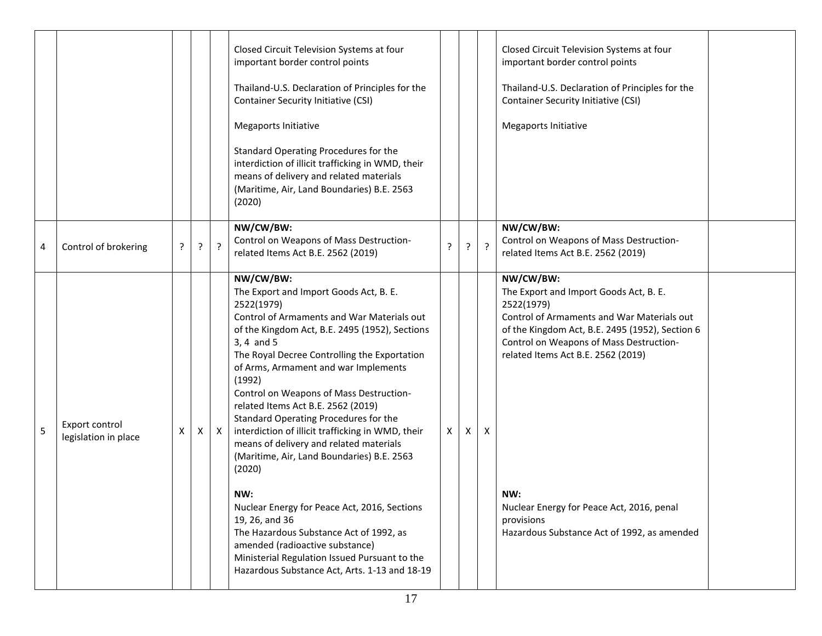|   |                                        |   |   |              | Closed Circuit Television Systems at four<br>important border control points<br>Thailand-U.S. Declaration of Principles for the<br><b>Container Security Initiative (CSI)</b><br>Megaports Initiative<br>Standard Operating Procedures for the<br>interdiction of illicit trafficking in WMD, their<br>means of delivery and related materials<br>(Maritime, Air, Land Boundaries) B.E. 2563<br>(2020)                                                                                                                                                                                                                                                                                                                                                                                                                           |              |   |         | Closed Circuit Television Systems at four<br>important border control points<br>Thailand-U.S. Declaration of Principles for the<br><b>Container Security Initiative (CSI)</b><br><b>Megaports Initiative</b>                                                                                                                                                         |  |
|---|----------------------------------------|---|---|--------------|----------------------------------------------------------------------------------------------------------------------------------------------------------------------------------------------------------------------------------------------------------------------------------------------------------------------------------------------------------------------------------------------------------------------------------------------------------------------------------------------------------------------------------------------------------------------------------------------------------------------------------------------------------------------------------------------------------------------------------------------------------------------------------------------------------------------------------|--------------|---|---------|----------------------------------------------------------------------------------------------------------------------------------------------------------------------------------------------------------------------------------------------------------------------------------------------------------------------------------------------------------------------|--|
| 4 | Control of brokering                   | ? | ? | $\cdot$      | NW/CW/BW:<br>Control on Weapons of Mass Destruction-<br>related Items Act B.E. 2562 (2019)                                                                                                                                                                                                                                                                                                                                                                                                                                                                                                                                                                                                                                                                                                                                       | ?            | ? | $\cdot$ | NW/CW/BW:<br>Control on Weapons of Mass Destruction-<br>related Items Act B.E. 2562 (2019)                                                                                                                                                                                                                                                                           |  |
| 5 | Export control<br>legislation in place | X | X | $\mathsf{X}$ | NW/CW/BW:<br>The Export and Import Goods Act, B. E.<br>2522(1979)<br>Control of Armaments and War Materials out<br>of the Kingdom Act, B.E. 2495 (1952), Sections<br>$3, 4$ and $5$<br>The Royal Decree Controlling the Exportation<br>of Arms, Armament and war Implements<br>(1992)<br>Control on Weapons of Mass Destruction-<br>related Items Act B.E. 2562 (2019)<br>Standard Operating Procedures for the<br>interdiction of illicit trafficking in WMD, their<br>means of delivery and related materials<br>(Maritime, Air, Land Boundaries) B.E. 2563<br>(2020)<br>NW:<br>Nuclear Energy for Peace Act, 2016, Sections<br>19, 26, and 36<br>The Hazardous Substance Act of 1992, as<br>amended (radioactive substance)<br>Ministerial Regulation Issued Pursuant to the<br>Hazardous Substance Act, Arts. 1-13 and 18-19 | $\mathsf{X}$ | X | X       | NW/CW/BW:<br>The Export and Import Goods Act, B. E.<br>2522(1979)<br>Control of Armaments and War Materials out<br>of the Kingdom Act, B.E. 2495 (1952), Section 6<br>Control on Weapons of Mass Destruction-<br>related Items Act B.E. 2562 (2019)<br>NW:<br>Nuclear Energy for Peace Act, 2016, penal<br>provisions<br>Hazardous Substance Act of 1992, as amended |  |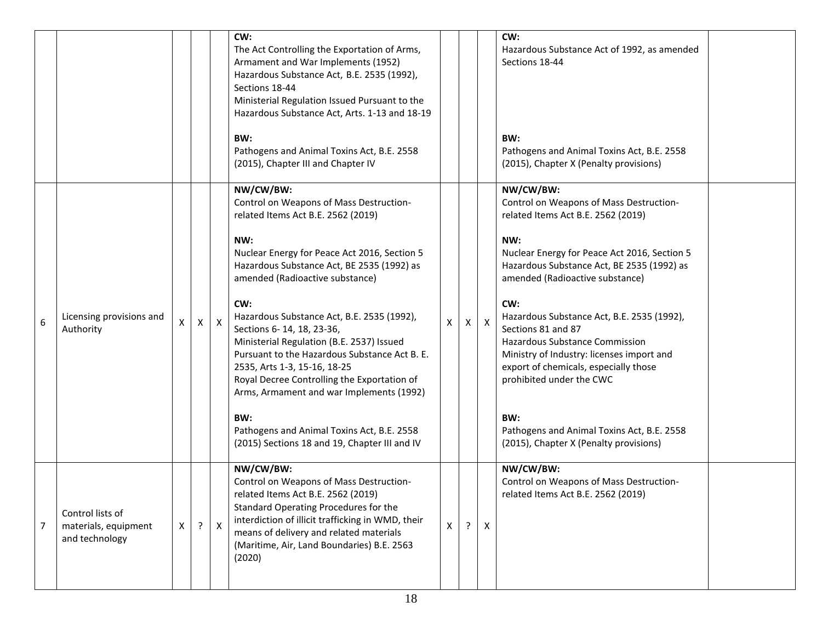|   |                                                            |              |   |              | CW:<br>The Act Controlling the Exportation of Arms,<br>Armament and War Implements (1952)<br>Hazardous Substance Act, B.E. 2535 (1992),<br>Sections 18-44<br>Ministerial Regulation Issued Pursuant to the<br>Hazardous Substance Act, Arts. 1-13 and 18-19<br>BW:                                                                                                                                                                                                                                                                                                                                                                                  |   |              |                           | CW:<br>Hazardous Substance Act of 1992, as amended<br>Sections 18-44<br>BW:                                                                                                                                                                                                                                                                                                                                                                                                                                                                                             |  |
|---|------------------------------------------------------------|--------------|---|--------------|-----------------------------------------------------------------------------------------------------------------------------------------------------------------------------------------------------------------------------------------------------------------------------------------------------------------------------------------------------------------------------------------------------------------------------------------------------------------------------------------------------------------------------------------------------------------------------------------------------------------------------------------------------|---|--------------|---------------------------|-------------------------------------------------------------------------------------------------------------------------------------------------------------------------------------------------------------------------------------------------------------------------------------------------------------------------------------------------------------------------------------------------------------------------------------------------------------------------------------------------------------------------------------------------------------------------|--|
|   |                                                            |              |   |              | Pathogens and Animal Toxins Act, B.E. 2558<br>(2015), Chapter III and Chapter IV                                                                                                                                                                                                                                                                                                                                                                                                                                                                                                                                                                    |   |              |                           | Pathogens and Animal Toxins Act, B.E. 2558<br>(2015), Chapter X (Penalty provisions)                                                                                                                                                                                                                                                                                                                                                                                                                                                                                    |  |
| 6 | Licensing provisions and<br>Authority                      | X            | X | $\mathsf{X}$ | NW/CW/BW:<br>Control on Weapons of Mass Destruction-<br>related Items Act B.E. 2562 (2019)<br>NW:<br>Nuclear Energy for Peace Act 2016, Section 5<br>Hazardous Substance Act, BE 2535 (1992) as<br>amended (Radioactive substance)<br>CW:<br>Hazardous Substance Act, B.E. 2535 (1992),<br>Sections 6-14, 18, 23-36,<br>Ministerial Regulation (B.E. 2537) Issued<br>Pursuant to the Hazardous Substance Act B. E.<br>2535, Arts 1-3, 15-16, 18-25<br>Royal Decree Controlling the Exportation of<br>Arms, Armament and war Implements (1992)<br>BW:<br>Pathogens and Animal Toxins Act, B.E. 2558<br>(2015) Sections 18 and 19, Chapter III and IV | X | $\mathsf{x}$ | $\mathsf{X}$              | NW/CW/BW:<br>Control on Weapons of Mass Destruction-<br>related Items Act B.E. 2562 (2019)<br>NW:<br>Nuclear Energy for Peace Act 2016, Section 5<br>Hazardous Substance Act, BE 2535 (1992) as<br>amended (Radioactive substance)<br>CW:<br>Hazardous Substance Act, B.E. 2535 (1992),<br>Sections 81 and 87<br><b>Hazardous Substance Commission</b><br>Ministry of Industry: licenses import and<br>export of chemicals, especially those<br>prohibited under the CWC<br>BW:<br>Pathogens and Animal Toxins Act, B.E. 2558<br>(2015), Chapter X (Penalty provisions) |  |
| 7 | Control lists of<br>materials, equipment<br>and technology | $\mathsf{X}$ | ? | $\mathsf{X}$ | NW/CW/BW:<br>Control on Weapons of Mass Destruction-<br>related Items Act B.E. 2562 (2019)<br>Standard Operating Procedures for the<br>interdiction of illicit trafficking in WMD, their<br>means of delivery and related materials<br>(Maritime, Air, Land Boundaries) B.E. 2563<br>(2020)                                                                                                                                                                                                                                                                                                                                                         | X |              | $\boldsymbol{\mathsf{X}}$ | NW/CW/BW:<br>Control on Weapons of Mass Destruction-<br>related Items Act B.E. 2562 (2019)                                                                                                                                                                                                                                                                                                                                                                                                                                                                              |  |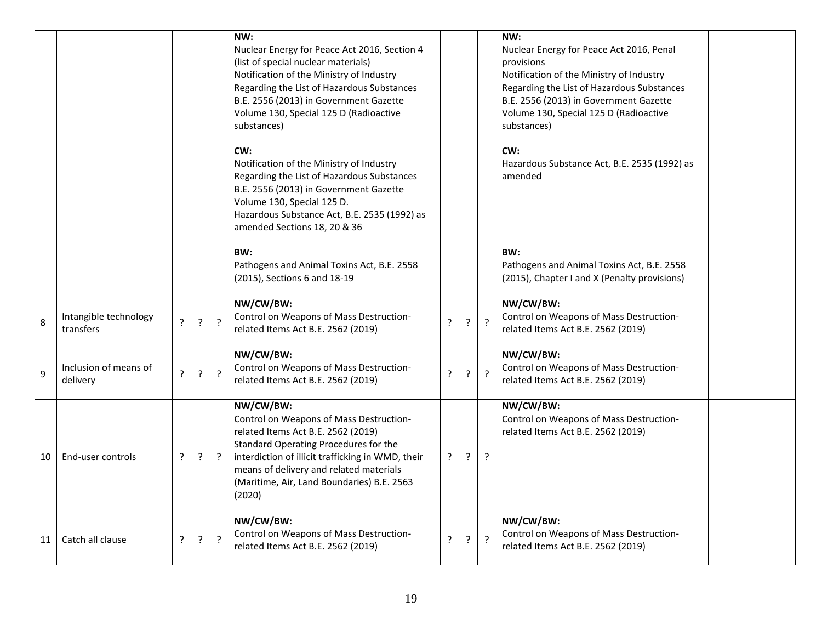|    |                                    |                |   |                | NW:<br>Nuclear Energy for Peace Act 2016, Section 4<br>(list of special nuclear materials)<br>Notification of the Ministry of Industry<br>Regarding the List of Hazardous Substances<br>B.E. 2556 (2013) in Government Gazette<br>Volume 130, Special 125 D (Radioactive<br>substances)     |                |                |                | NW:<br>Nuclear Energy for Peace Act 2016, Penal<br>provisions<br>Notification of the Ministry of Industry<br>Regarding the List of Hazardous Substances<br>B.E. 2556 (2013) in Government Gazette<br>Volume 130, Special 125 D (Radioactive<br>substances) |  |
|----|------------------------------------|----------------|---|----------------|---------------------------------------------------------------------------------------------------------------------------------------------------------------------------------------------------------------------------------------------------------------------------------------------|----------------|----------------|----------------|------------------------------------------------------------------------------------------------------------------------------------------------------------------------------------------------------------------------------------------------------------|--|
|    |                                    |                |   |                | CW:<br>Notification of the Ministry of Industry<br>Regarding the List of Hazardous Substances<br>B.E. 2556 (2013) in Government Gazette<br>Volume 130, Special 125 D.<br>Hazardous Substance Act, B.E. 2535 (1992) as<br>amended Sections 18, 20 & 36                                       |                |                |                | CW:<br>Hazardous Substance Act, B.E. 2535 (1992) as<br>amended                                                                                                                                                                                             |  |
|    |                                    |                |   |                | BW:<br>Pathogens and Animal Toxins Act, B.E. 2558<br>(2015), Sections 6 and 18-19                                                                                                                                                                                                           |                |                |                | BW:<br>Pathogens and Animal Toxins Act, B.E. 2558<br>(2015), Chapter I and X (Penalty provisions)                                                                                                                                                          |  |
| 8  | Intangible technology<br>transfers | $\overline{?}$ | ? | $\overline{?}$ | NW/CW/BW:<br>Control on Weapons of Mass Destruction-<br>related Items Act B.E. 2562 (2019)                                                                                                                                                                                                  | $\overline{?}$ | $\overline{?}$ | $\overline{?}$ | NW/CW/BW:<br>Control on Weapons of Mass Destruction-<br>related Items Act B.E. 2562 (2019)                                                                                                                                                                 |  |
| 9  | Inclusion of means of<br>delivery  | $\overline{?}$ | ? | $\overline{?}$ | NW/CW/BW:<br>Control on Weapons of Mass Destruction-<br>related Items Act B.E. 2562 (2019)                                                                                                                                                                                                  | $\overline{?}$ | $\overline{?}$ | $\overline{?}$ | NW/CW/BW:<br>Control on Weapons of Mass Destruction-<br>related Items Act B.E. 2562 (2019)                                                                                                                                                                 |  |
| 10 | End-user controls                  | ?              | ? | $\cdot$        | NW/CW/BW:<br>Control on Weapons of Mass Destruction-<br>related Items Act B.E. 2562 (2019)<br>Standard Operating Procedures for the<br>interdiction of illicit trafficking in WMD, their<br>means of delivery and related materials<br>(Maritime, Air, Land Boundaries) B.E. 2563<br>(2020) | ?              | $\tilde{f}$    | $\cdot$        | NW/CW/BW:<br>Control on Weapons of Mass Destruction-<br>related Items Act B.E. 2562 (2019)                                                                                                                                                                 |  |
| 11 | Catch all clause                   | ?              | ? | $\tilde{f}$    | NW/CW/BW:<br>Control on Weapons of Mass Destruction-<br>related Items Act B.E. 2562 (2019)                                                                                                                                                                                                  | ?              | $\tilde{.}$    | $\overline{?}$ | NW/CW/BW:<br>Control on Weapons of Mass Destruction-<br>related Items Act B.E. 2562 (2019)                                                                                                                                                                 |  |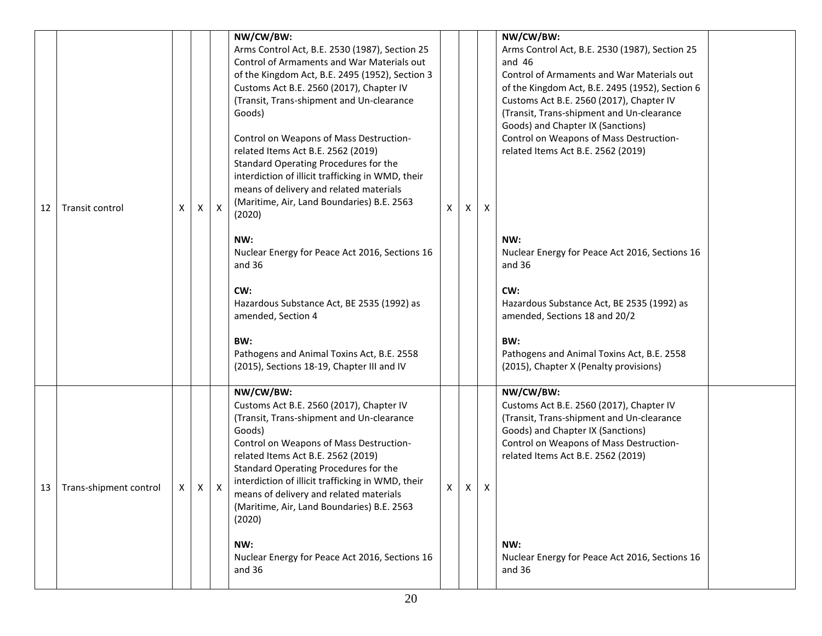| 12 | Transit control        | X | X | $\mathsf{x}$ | NW/CW/BW:<br>Arms Control Act, B.E. 2530 (1987), Section 25<br>Control of Armaments and War Materials out<br>of the Kingdom Act, B.E. 2495 (1952), Section 3<br>Customs Act B.E. 2560 (2017), Chapter IV<br>(Transit, Trans-shipment and Un-clearance<br>Goods)<br>Control on Weapons of Mass Destruction-<br>related Items Act B.E. 2562 (2019)<br>Standard Operating Procedures for the<br>interdiction of illicit trafficking in WMD, their<br>means of delivery and related materials<br>(Maritime, Air, Land Boundaries) B.E. 2563<br>(2020)<br>NW:<br>Nuclear Energy for Peace Act 2016, Sections 16<br>and 36<br>CW:<br>Hazardous Substance Act, BE 2535 (1992) as<br>amended, Section 4<br>BW:<br>Pathogens and Animal Toxins Act, B.E. 2558 | X | Χ | X            | NW/CW/BW:<br>Arms Control Act, B.E. 2530 (1987), Section 25<br>and $46$<br>Control of Armaments and War Materials out<br>of the Kingdom Act, B.E. 2495 (1952), Section 6<br>Customs Act B.E. 2560 (2017), Chapter IV<br>(Transit, Trans-shipment and Un-clearance<br>Goods) and Chapter IX (Sanctions)<br>Control on Weapons of Mass Destruction-<br>related Items Act B.E. 2562 (2019)<br>NW:<br>Nuclear Energy for Peace Act 2016, Sections 16<br>and $36$<br>CW:<br>Hazardous Substance Act, BE 2535 (1992) as<br>amended, Sections 18 and 20/2<br>BW:<br>Pathogens and Animal Toxins Act, B.E. 2558 |  |
|----|------------------------|---|---|--------------|------------------------------------------------------------------------------------------------------------------------------------------------------------------------------------------------------------------------------------------------------------------------------------------------------------------------------------------------------------------------------------------------------------------------------------------------------------------------------------------------------------------------------------------------------------------------------------------------------------------------------------------------------------------------------------------------------------------------------------------------------|---|---|--------------|---------------------------------------------------------------------------------------------------------------------------------------------------------------------------------------------------------------------------------------------------------------------------------------------------------------------------------------------------------------------------------------------------------------------------------------------------------------------------------------------------------------------------------------------------------------------------------------------------------|--|
| 13 | Trans-shipment control | Χ | X | X            | (2015), Sections 18-19, Chapter III and IV<br>NW/CW/BW:<br>Customs Act B.E. 2560 (2017), Chapter IV<br>(Transit, Trans-shipment and Un-clearance<br>Goods)<br>Control on Weapons of Mass Destruction-<br>related Items Act B.E. 2562 (2019)<br>Standard Operating Procedures for the<br>interdiction of illicit trafficking in WMD, their<br>means of delivery and related materials<br>(Maritime, Air, Land Boundaries) B.E. 2563<br>(2020)<br>NW:<br>Nuclear Energy for Peace Act 2016, Sections 16<br>and 36                                                                                                                                                                                                                                      | X | X | $\mathsf{X}$ | (2015), Chapter X (Penalty provisions)<br>NW/CW/BW:<br>Customs Act B.E. 2560 (2017), Chapter IV<br>(Transit, Trans-shipment and Un-clearance<br>Goods) and Chapter IX (Sanctions)<br>Control on Weapons of Mass Destruction-<br>related Items Act B.E. 2562 (2019)<br>NW:<br>Nuclear Energy for Peace Act 2016, Sections 16<br>and 36                                                                                                                                                                                                                                                                   |  |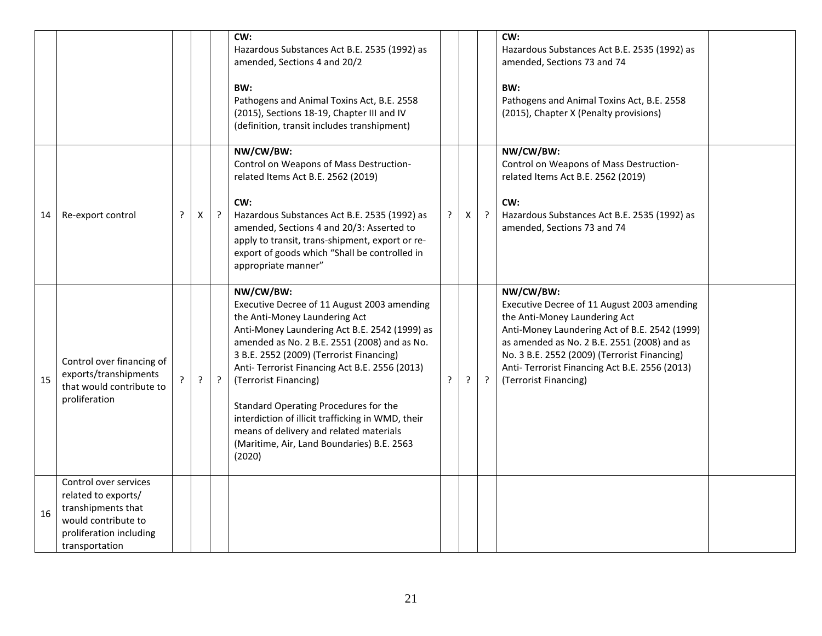|    |                                                                                                                                        |         |   |   | CW:<br>Hazardous Substances Act B.E. 2535 (1992) as<br>amended, Sections 4 and 20/2<br>BW:<br>Pathogens and Animal Toxins Act, B.E. 2558<br>(2015), Sections 18-19, Chapter III and IV<br>(definition, transit includes transhipment)                                                                                                                                                                                                                                                                              |         |    |         | CW:<br>Hazardous Substances Act B.E. 2535 (1992) as<br>amended, Sections 73 and 74<br>BW:<br>Pathogens and Animal Toxins Act, B.E. 2558<br>(2015), Chapter X (Penalty provisions)                                                                                                                                    |  |
|----|----------------------------------------------------------------------------------------------------------------------------------------|---------|---|---|--------------------------------------------------------------------------------------------------------------------------------------------------------------------------------------------------------------------------------------------------------------------------------------------------------------------------------------------------------------------------------------------------------------------------------------------------------------------------------------------------------------------|---------|----|---------|----------------------------------------------------------------------------------------------------------------------------------------------------------------------------------------------------------------------------------------------------------------------------------------------------------------------|--|
| 14 | Re-export control                                                                                                                      | $\cdot$ | X | ? | NW/CW/BW:<br>Control on Weapons of Mass Destruction-<br>related Items Act B.E. 2562 (2019)<br>CW:<br>Hazardous Substances Act B.E. 2535 (1992) as<br>amended, Sections 4 and 20/3: Asserted to<br>apply to transit, trans-shipment, export or re-<br>export of goods which "Shall be controlled in<br>appropriate manner"                                                                                                                                                                                          | $\cdot$ | Χ  | $\cdot$ | NW/CW/BW:<br>Control on Weapons of Mass Destruction-<br>related Items Act B.E. 2562 (2019)<br>CW:<br>Hazardous Substances Act B.E. 2535 (1992) as<br>amended, Sections 73 and 74                                                                                                                                     |  |
| 15 | Control over financing of<br>exports/transhipments<br>that would contribute to<br>proliferation                                        |         | ? | ? | NW/CW/BW:<br>Executive Decree of 11 August 2003 amending<br>the Anti-Money Laundering Act<br>Anti-Money Laundering Act B.E. 2542 (1999) as<br>amended as No. 2 B.E. 2551 (2008) and as No.<br>3 B.E. 2552 (2009) (Terrorist Financing)<br>Anti- Terrorist Financing Act B.E. 2556 (2013)<br>(Terrorist Financing)<br>Standard Operating Procedures for the<br>interdiction of illicit trafficking in WMD, their<br>means of delivery and related materials<br>(Maritime, Air, Land Boundaries) B.E. 2563<br>(2020) | P.      | ç. | $\cdot$ | NW/CW/BW:<br>Executive Decree of 11 August 2003 amending<br>the Anti-Money Laundering Act<br>Anti-Money Laundering Act of B.E. 2542 (1999)<br>as amended as No. 2 B.E. 2551 (2008) and as<br>No. 3 B.E. 2552 (2009) (Terrorist Financing)<br>Anti- Terrorist Financing Act B.E. 2556 (2013)<br>(Terrorist Financing) |  |
| 16 | Control over services<br>related to exports/<br>transhipments that<br>would contribute to<br>proliferation including<br>transportation |         |   |   |                                                                                                                                                                                                                                                                                                                                                                                                                                                                                                                    |         |    |         |                                                                                                                                                                                                                                                                                                                      |  |